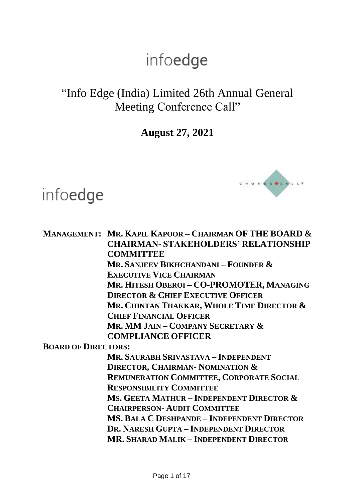### "Info Edge (India) Limited 26th Annual General Meeting Conference Call"

**August 27, 2021**

**MANAGEMENT: MR. KAPIL KAPOOR – CHAIRMAN OF THE BOARD &**

infoedge



**CHAIRMAN- STAKEHOLDERS' RELATIONSHIP COMMITTEE MR. SANJEEV BIKHCHANDANI – FOUNDER & EXECUTIVE VICE CHAIRMAN MR. HITESH OBEROI – CO-PROMOTER, MANAGING DIRECTOR & CHIEF EXECUTIVE OFFICER MR. CHINTAN THAKKAR, WHOLE TIME DIRECTOR & CHIEF FINANCIAL OFFICER MR. MM JAIN – COMPANY SECRETARY & COMPLIANCE OFFICER BOARD OF DIRECTORS: MR. SAURABH SRIVASTAVA – INDEPENDENT DIRECTOR, CHAIRMAN- NOMINATION & REMUNERATION COMMITTEE, CORPORATE SOCIAL RESPONSIBILITY COMMITTEE MS. GEETA MATHUR – INDEPENDENT DIRECTOR & CHAIRPERSON- AUDIT COMMITTEE MS. BALA C DESHPANDE – INDEPENDENT DIRECTOR DR. NARESH GUPTA – INDEPENDENT DIRECTOR**

**MR. SHARAD MALIK – INDEPENDENT DIRECTOR**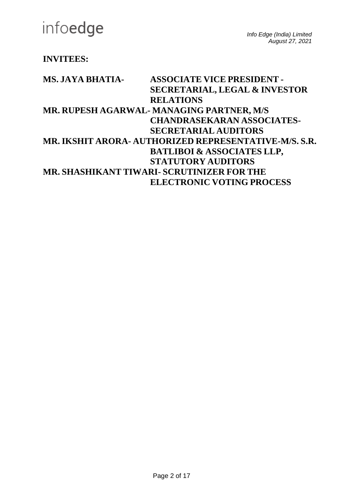### **INVITEES:**

| MS. JAYA BHATIA- | <b>ASSOCIATE VICE PRESIDENT -</b>                     |
|------------------|-------------------------------------------------------|
|                  | <b>SECRETARIAL, LEGAL &amp; INVESTOR</b>              |
|                  | <b>RELATIONS</b>                                      |
|                  | MR. RUPESH AGARWAL- MANAGING PARTNER, M/S             |
|                  | <b>CHANDRASEKARAN ASSOCIATES-</b>                     |
|                  | <b>SECRETARIAL AUDITORS</b>                           |
|                  | MR. IKSHIT ARORA- AUTHORIZED REPRESENTATIVE-M/S. S.R. |
|                  | <b>BATLIBOI &amp; ASSOCIATES LLP,</b>                 |
|                  | <b>STATUTORY AUDITORS</b>                             |
|                  | MR. SHASHIKANT TIWARI- SCRUTINIZER FOR THE            |
|                  | <b>ELECTRONIC VOTING PROCESS</b>                      |
|                  |                                                       |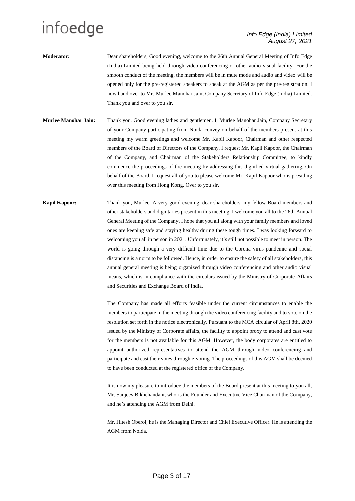- **Moderator:** Dear shareholders, Good evening, welcome to the 26th Annual General Meeting of Info Edge (India) Limited being held through video conferencing or other audio visual facility. For the smooth conduct of the meeting, the members will be in mute mode and audio and video will be opened only for the pre-registered speakers to speak at the AGM as per the pre-registration. I now hand over to Mr. Murlee Manohar Jain, Company Secretary of Info Edge (India) Limited. Thank you and over to you sir.
- **Murlee Manohar Jain:** Thank you. Good evening ladies and gentlemen. I, Murlee Manohar Jain, Company Secretary of your Company participating from Noida convey on behalf of the members present at this meeting my warm greetings and welcome Mr. Kapil Kapoor, Chairman and other respected members of the Board of Directors of the Company. I request Mr. Kapil Kapoor, the Chairman of the Company, and Chairman of the Stakeholders Relationship Committee, to kindly commence the proceedings of the meeting by addressing this dignified virtual gathering. On behalf of the Board, I request all of you to please welcome Mr. Kapil Kapoor who is presiding over this meeting from Hong Kong. Over to you sir.
- **Kapil Kapoor:** Thank you, Murlee. A very good evening, dear shareholders, my fellow Board members and other stakeholders and dignitaries present in this meeting. I welcome you all to the 26th Annual General Meeting of the Company. I hope that you all along with your family members and loved ones are keeping safe and staying healthy during these tough times. I was looking forward to welcoming you all in person in 2021. Unfortunately, it's still not possible to meet in person. The world is going through a very difficult time due to the Corona virus pandemic and social distancing is a norm to be followed. Hence, in order to ensure the safety of all stakeholders, this annual general meeting is being organized through video conferencing and other audio visual means, which is in compliance with the circulars issued by the Ministry of Corporate Affairs and Securities and Exchange Board of India.

The Company has made all efforts feasible under the current circumstances to enable the members to participate in the meeting through the video conferencing facility and to vote on the resolution set forth in the notice electronically. Pursuant to the MCA circular of April 8th, 2020 issued by the Ministry of Corporate affairs, the facility to appoint proxy to attend and cast vote for the members is not available for this AGM. However, the body corporates are entitled to appoint authorized representatives to attend the AGM through video conferencing and participate and cast their votes through e-voting. The proceedings of this AGM shall be deemed to have been conducted at the registered office of the Company.

It is now my pleasure to introduce the members of the Board present at this meeting to you all, Mr. Sanjeev Bikhchandani, who is the Founder and Executive Vice Chairman of the Company, and he's attending the AGM from Delhi.

Mr. Hitesh Oberoi, he is the Managing Director and Chief Executive Officer. He is attending the AGM from Noida.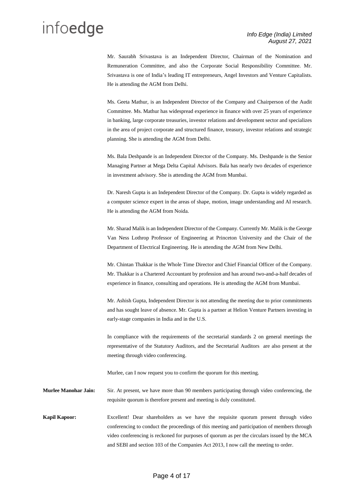Mr. Saurabh Srivastava is an Independent Director, Chairman of the Nomination and Remuneration Committee, and also the Corporate Social Responsibility Committee. Mr. Srivastava is one of India's leading IT entrepreneurs, Angel Investors and Venture Capitalists. He is attending the AGM from Delhi.

Ms. Geeta Mathur, is an Independent Director of the Company and Chairperson of the Audit Committee. Ms. Mathur has widespread experience in finance with over 25 years of experience in banking, large corporate treasuries, investor relations and development sector and specializes in the area of project corporate and structured finance, treasury, investor relations and strategic planning. She is attending the AGM from Delhi.

Ms. Bala Deshpande is an Independent Director of the Company. Ms. Deshpande is the Senior Managing Partner at Mega Delta Capital Advisors. Bala has nearly two decades of experience in investment advisory. She is attending the AGM from Mumbai.

Dr. Naresh Gupta is an Independent Director of the Company. Dr. Gupta is widely regarded as a computer science expert in the areas of shape, motion, image understanding and AI research. He is attending the AGM from Noida.

Mr. Sharad Malik is an Independent Director of the Company. Currently Mr. Malik is the George Van Ness Lothrop Professor of Engineering at Princeton University and the Chair of the Department of Electrical Engineering. He is attending the AGM from New Delhi.

Mr. Chintan Thakkar is the Whole Time Director and Chief Financial Officer of the Company. Mr. Thakkar is a Chartered Accountant by profession and has around two-and-a-half decades of experience in finance, consulting and operations. He is attending the AGM from Mumbai.

Mr. Ashish Gupta, Independent Director is not attending the meeting due to prior commitments and has sought leave of absence. Mr. Gupta is a partner at Helion Venture Partners investing in early-stage companies in India and in the U.S.

In compliance with the requirements of the secretarial standards 2 on general meetings the representative of the Statutory Auditors, and the Secretarial Auditors are also present at the meeting through video conferencing.

Murlee, can I now request you to confirm the quorum for this meeting.

**Murlee Manohar Jain:** Sir. At present, we have more than 90 members participating through video conferencing, the requisite quorum is therefore present and meeting is duly constituted.

**Kapil Kapoor:** Excellent! Dear shareholders as we have the requisite quorum present through video conferencing to conduct the proceedings of this meeting and participation of members through video conferencing is reckoned for purposes of quorum as per the circulars issued by the MCA and SEBI and section 103 of the Companies Act 2013, I now call the meeting to order.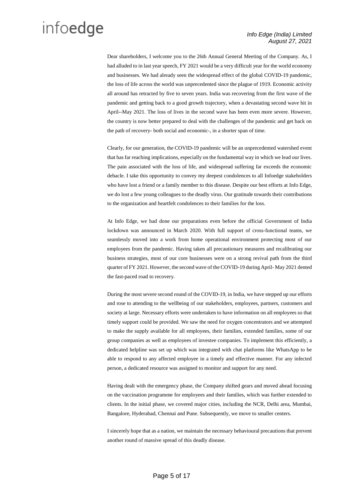Dear shareholders, I welcome you to the 26th Annual General Meeting of the Company. As, I had alluded to in last year speech, FY 2021 would be a very difficult year for the world economy and businesses. We had already seen the widespread effect of the global COVID-19 pandemic, the loss of life across the world was unprecedented since the plague of 1919. Economic activity all around has retracted by five to seven years. India was recovering from the first wave of the pandemic and getting back to a good growth trajectory, when a devastating second wave hit in April--May 2021. The loss of lives in the second wave has been even more severe. However, the country is now better prepared to deal with the challenges of the pandemic and get back on the path of recovery- both social and economic-, in a shorter span of time.

Clearly, for our generation, the COVID-19 pandemic will be an unprecedented watershed event that has far reaching implications, especially on the fundamental way in which we lead our lives. The pain associated with the loss of life, and widespread suffering far exceeds the economic debacle. I take this opportunity to convey my deepest condolences to all Infoedge stakeholders who have lost a friend or a family member to this disease. Despite our best efforts at Info Edge, we do lost a few young colleagues to the deadly virus. Our gratitude towards their contributions to the organization and heartfelt condolences to their families for the loss.

At Info Edge, we had done our preparations even before the official Government of India lockdown was announced in March 2020. With full support of cross-functional teams, we seamlessly moved into a work from home operational environment protecting most of our employees from the pandemic. Having taken all precautionary measures and recalibrating our business strategies, most of our core businesses were on a strong revival path from the third quarter of FY 2021. However, the second wave of the COVID-19 during April- May 2021 dented the fast-paced road to recovery.

During the most severe second round of the COVID-19, in India, we have stepped up our efforts and rose to attending to the wellbeing of our stakeholders, employees, partners, customers and society at large. Necessary efforts were undertaken to have information on all employees so that timely support could be provided. We saw the need for oxygen concentrators and we attempted to make the supply available for all employees, their families, extended families, some of our group companies as well as employees of investee companies. To implement this efficiently, a dedicated helpline was set up which was integrated with chat platforms like WhatsApp to be able to respond to any affected employee in a timely and effective manner. For any infected person, a dedicated resource was assigned to monitor and support for any need.

Having dealt with the emergency phase, the Company shifted gears and moved ahead focusing on the vaccination programme for employees and their families, which was further extended to clients. In the initial phase, we covered major cities, including the NCR, Delhi area, Mumbai, Bangalore, Hyderabad, Chennai and Pune. Subsequently, we move to smaller centers.

I sincerely hope that as a nation, we maintain the necessary behavioural precautions that prevent another round of massive spread of this deadly disease.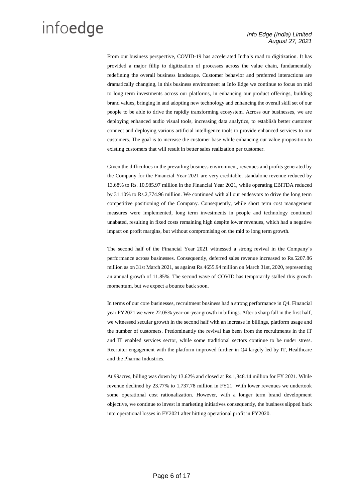From our business perspective, COVID-19 has accelerated India's road to digitization. It has provided a major fillip to digitization of processes across the value chain, fundamentally redefining the overall business landscape. Customer behavior and preferred interactions are dramatically changing, in this business environment at Info Edge we continue to focus on mid to long term investments across our platforms, in enhancing our product offerings, building brand values, bringing in and adopting new technology and enhancing the overall skill set of our people to be able to drive the rapidly transforming ecosystem. Across our businesses, we are deploying enhanced audio visual tools, increasing data analytics, to establish better customer connect and deploying various artificial intelligence tools to provide enhanced services to our customers. The goal is to increase the customer base while enhancing our value proposition to existing customers that will result in better sales realization per customer.

Given the difficulties in the prevailing business environment, revenues and profits generated by the Company for the Financial Year 2021 are very creditable, standalone revenue reduced by 13.68% to Rs. 10,985.97 million in the Financial Year 2021, while operating EBITDA reduced by 31.10% to Rs.2,774.96 million. We continued with all our endeavors to drive the long term competitive positioning of the Company. Consequently, while short term cost management measures were implemented, long term investments in people and technology continued unabated, resulting in fixed costs remaining high despite lower revenues, which had a negative impact on profit margins, but without compromising on the mid to long term growth.

The second half of the Financial Year 2021 witnessed a strong revival in the Company's performance across businesses. Consequently, deferred sales revenue increased to Rs.5207.86 million as on 31st March 2021, as against Rs.4655.94 million on March 31st, 2020, representing an annual growth of 11.85%. The second wave of COVID has temporarily stalled this growth momentum, but we expect a bounce back soon.

In terms of our core businesses, recruitment business had a strong performance in Q4. Financial year FY2021 we were 22.05% year-on-year growth in billings. After a sharp fall in the first half, we witnessed secular growth in the second half with an increase in billings, platform usage and the number of customers. Predominantly the revival has been from the recruitments in the IT and IT enabled services sector, while some traditional sectors continue to be under stress. Recruiter engagement with the platform improved further in Q4 largely led by IT, Healthcare and the Pharma Industries.

At 99acres, billing was down by 13.62% and closed at Rs.1,848.14 million for FY 2021. While revenue declined by 23.77% to 1,737.78 million in FY21. With lower revenues we undertook some operational cost rationalization. However, with a longer term brand development objective, we continue to invest in marketing initiatives consequently, the business slipped back into operational losses in FY2021 after hitting operational profit in FY2020.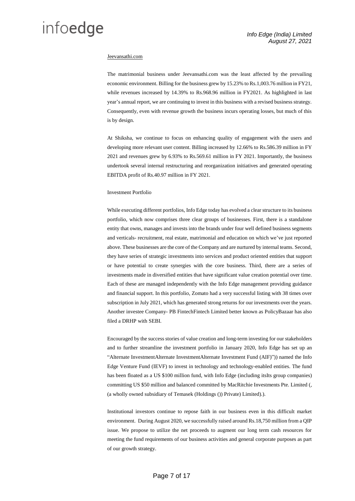#### Jeevansathi.com

The matrimonial business under Jeevansathi.com was the least affected by the prevailing economic environment. Billing for the business grew by 15.23% to Rs.1,003.76 million in FY21, while revenues increased by 14.39% to Rs.968.96 million in FY2021. As highlighted in last year's annual report, we are continuing to invest in this business with a revised business strategy. Consequently, even with revenue growth the business incurs operating losses, but much of this is by design.

At Shiksha, we continue to focus on enhancing quality of engagement with the users and developing more relevant user content. Billing increased by 12.66% to Rs.586.39 million in FY 2021 and revenues grew by 6.93% to Rs.569.61 million in FY 2021. Importantly, the business undertook several internal restructuring and reorganization initiatives and generated operating EBITDA profit of Rs.40.97 million in FY 2021.

#### Investment Portfolio

While executing different portfolios, Info Edge today has evolved a clear structure to its business portfolio, which now comprises three clear groups of businesses. First, there is a standalone entity that owns, manages and invests into the brands under four well defined business segments and verticals- recruitment, real estate, matrimonial and education on which we've just reported above. These businesses are the core of the Company and are nurtured by internal teams. Second, they have series of strategic investments into services and product oriented entities that support or have potential to create synergies with the core business. Third, there are a series of investments made in diversified entities that have significant value creation potential over time. Each of these are managed independently with the Info Edge management providing guidance and financial support. In this portfolio, Zomato had a very successful listing with 38 times over subscription in July 2021, which has generated strong returns for our investments over the years. Another investee Company- PB FintechFintech Limited better known as PolicyBazaar has also filed a DRHP with SEBI.

Encouraged by the success stories of value creation and long-term investing for our stakeholders and to further streamline the investment portfolio in January 2020, Info Edge has set up an "Alternate InvestmentAlternate InvestmentAlternate Investment Fund (AIF)")) named the Info Edge Venture Fund (IEVF) to invest in technology and technology-enabled entities. The fund has been floated as a US \$100 million fund, with Info Edge (including itsIts group companies) committing US \$50 million and balanced committed by MacRitchie Investments Pte. Limited (, (a wholly owned subsidiary of Temasek (Holdings ()) Private) Limited).).

Institutional investors continue to repose faith in our business even in this difficult market environment. During August 2020, we successfully raised around Rs.18,750 million from a QIP issue. We propose to utilize the net proceeds to augment our long term cash resources for meeting the fund requirements of our business activities and general corporate purposes as part of our growth strategy.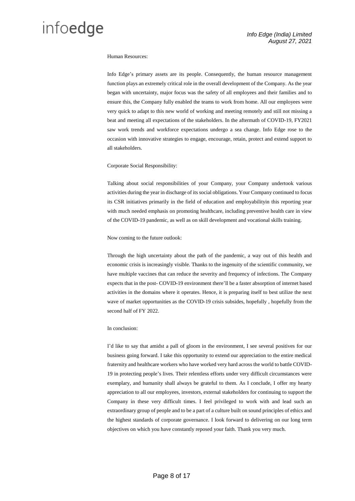#### Human Resources:

Info Edge's primary assets are its people. Consequently, the human resource management function plays an extremely critical role in the overall development of the Company. As the year began with uncertainty, major focus was the safety of all employees and their families and to ensure this, the Company fully enabled the teams to work from home. All our employees were very quick to adapt to this new world of working and meeting remotely and still not missing a beat and meeting all expectations of the stakeholders. In the aftermath of COVID-19, FY2021 saw work trends and workforce expectations undergo a sea change. Info Edge rose to the occasion with innovative strategies to engage, encourage, retain, protect and extend support to all stakeholders.

#### Corporate Social Responsibility:

Talking about social responsibilities of your Company, your Company undertook various activities during the year in discharge of its social obligations. Your Company continued to focus its CSR initiatives primarily in the field of education and employabilityin this reporting year with much needed emphasis on promoting healthcare, including preventive health care in view of the COVID-19 pandemic, as well as on skill development and vocational skills training.

Now coming to the future outlook:

Through the high uncertainty about the path of the pandemic, a way out of this health and economic crisis is increasingly visible. Thanks to the ingenuity of the scientific community, we have multiple vaccines that can reduce the severity and frequency of infections. The Company expects that in the post- COVID-19 environment there'll be a faster absorption of internet based activities in the domains where it operates. Hence, it is preparing itself to best utilize the next wave of market opportunities as the COVID-19 crisis subsides, hopefully , hopefully from the second half of FY 2022.

#### In conclusion:

I'd like to say that amidst a pall of gloom in the environment, I see several positives for our business going forward. I take this opportunity to extend our appreciation to the entire medical fraternity and healthcare workers who have worked very hard across the world to battle COVID-19 in protecting people's lives. Their relentless efforts under very difficult circumstances were exemplary, and humanity shall always be grateful to them. As I conclude, I offer my hearty appreciation to all our employees, investors, external stakeholders for continuing to support the Company in these very difficult times. I feel privileged to work with and lead such an extraordinary group of people and to be a part of a culture built on sound principles of ethics and the highest standards of corporate governance. I look forward to delivering on our long term objectives on which you have constantly reposed your faith. Thank you very much.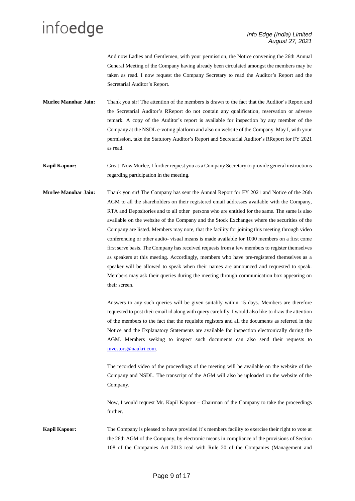And now Ladies and Gentlemen, with your permission, the Notice convening the 26th Annual General Meeting of the Company having already been circulated amongst the members may be taken as read. I now request the Company Secretary to read the Auditor's Report and the Secretarial Auditor's Report.

**Murlee Manohar Jain:** Thank you sir! The attention of the members is drawn to the fact that the Auditor's Report and the Secretarial Auditor's RReport do not contain any qualification, reservation or adverse remark. A copy of the Auditor's report is available for inspection by any member of the Company at the NSDL e-voting platform and also on website of the Company. May I, with your permission, take the Statutory Auditor's Report and Secretarial Auditor's RReport for FY 2021 as read.

**Kapil Kapoor:** Great! Now Murlee, I further request you as a Company Secretary to provide general instructions regarding participation in the meeting.

**Murlee Manohar Jain:** Thank you sir! The Company has sent the Annual Report for FY 2021 and Notice of the 26th AGM to all the shareholders on their registered email addresses available with the Company, RTA and Depositories and to all other persons who are entitled for the same. The same is also available on the website of the Company and the Stock Exchanges where the securities of the Company are listed. Members may note, that the facility for joining this meeting through video conferencing or other audio- visual means is made available for 1000 members on a first come first serve basis. The Company has received requests from a few members to register themselves as speakers at this meeting. Accordingly, members who have pre-registered themselves as a speaker will be allowed to speak when their names are announced and requested to speak. Members may ask their queries during the meeting through communication box appearing on their screen.

> Answers to any such queries will be given suitably within 15 days. Members are therefore requested to post their email id along with query carefully. I would also like to draw the attention of the members to the fact that the requisite registers and all the documents as referred in the Notice and the Explanatory Statements are available for inspection electronically during the AGM. Members seeking to inspect such documents can also send their requests to [investors@naukri.com.](mailto:investors@naukri.com)

> The recorded video of the proceedings of the meeting will be available on the website of the Company and NSDL. The transcript of the AGM will also be uploaded on the website of the Company.

> Now, I would request Mr. Kapil Kapoor – Chairman of the Company to take the proceedings further.

**Kapil Kapoor:** The Company is pleased to have provided it's members facility to exercise their right to vote at the 26th AGM of the Company, by electronic means in compliance of the provisions of Section 108 of the Companies Act 2013 read with Rule 20 of the Companies (Management and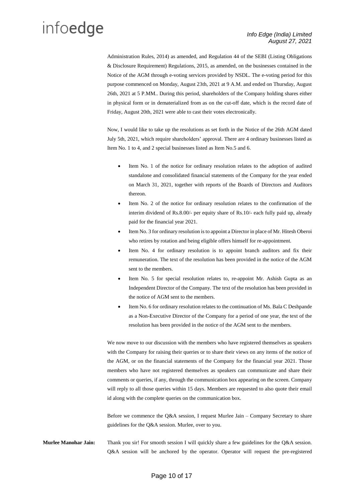Administration Rules, 2014) as amended, and Regulation 44 of the SEBI (Listing Obligations & Disclosure Requirement) Regulations, 2015, as amended, on the businesses contained in the Notice of the AGM through e-voting services provided by NSDL. The e-voting period for this purpose commenced on Monday, August 23th, 2021 at 9 A.M. and ended on Thursday, August 26th, 2021 at 5 P.MM.. During this period, shareholders of the Company holding shares either in physical form or in dematerialized from as on the cut-off date, which is the record date of Friday, August 20th, 2021 were able to cast their votes electronically.

Now, I would like to take up the resolutions as set forth in the Notice of the 26th AGM dated July 5th, 2021, which require shareholders' approval. There are 4 ordinary businesses listed as Item No. 1 to 4, and 2 special businesses listed as Item No.5 and 6.

- Item No. 1 of the notice for ordinary resolution relates to the adoption of audited standalone and consolidated financial statements of the Company for the year ended on March 31, 2021, together with reports of the Boards of Directors and Auditors thereon.
- Item No. 2 of the notice for ordinary resolution relates to the confirmation of the interim dividend of Rs.8.00/- per equity share of Rs.10/- each fully paid up, already paid for the financial year 2021.
- Item No. 3 for ordinary resolution is to appoint a Director in place of Mr. Hitesh Oberoi who retires by rotation and being eligible offers himself for re-appointment.
- Item No. 4 for ordinary resolution is to appoint branch auditors and fix their remuneration. The text of the resolution has been provided in the notice of the AGM sent to the members.
- Item No. 5 for special resolution relates to, re-appoint Mr. Ashish Gupta as an Independent Director of the Company. The text of the resolution has been provided in the notice of AGM sent to the members.
- Item No. 6 for ordinary resolution relates to the continuation of Ms. Bala C Deshpande as a Non-Executive Director of the Company for a period of one year, the text of the resolution has been provided in the notice of the AGM sent to the members.

We now move to our discussion with the members who have registered themselves as speakers with the Company for raising their queries or to share their views on any items of the notice of the AGM, or on the financial statements of the Company for the financial year 2021. Those members who have not registered themselves as speakers can communicate and share their comments or queries, if any, through the communication box appearing on the screen. Company will reply to all those queries within 15 days. Members are requested to also quote their email id along with the complete queries on the communication box.

Before we commence the Q&A session, I request Murlee Jain – Company Secretary to share guidelines for the Q&A session. Murlee, over to you.

**Murlee Manohar Jain:** Thank you sir! For smooth session I will quickly share a few guidelines for the Q&A session. Q&A session will be anchored by the operator. Operator will request the pre-registered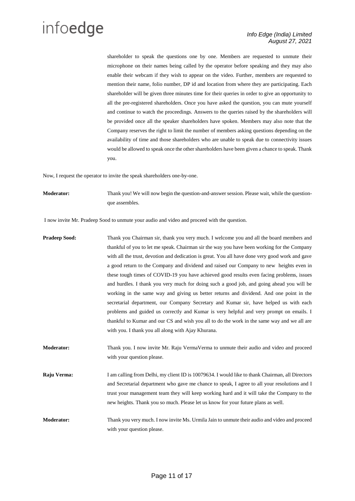shareholder to speak the questions one by one. Members are requested to unmute their microphone on their names being called by the operator before speaking and they may also enable their webcam if they wish to appear on the video. Further, members are requested to mention their name, folio number, DP id and location from where they are participating. Each shareholder will be given three minutes time for their queries in order to give an opportunity to all the pre-registered shareholders. Once you have asked the question, you can mute yourself and continue to watch the proceedings. Answers to the queries raised by the shareholders will be provided once all the speaker shareholders have spoken. Members may also note that the Company reserves the right to limit the number of members asking questions depending on the availability of time and those shareholders who are unable to speak due to connectivity issues would be allowed to speak once the other shareholders have been given a chance to speak. Thank you.

Now, I request the operator to invite the speak shareholders one-by-one.

**Moderator:** Thank you! We will now begin the question-and-answer session. Please wait, while the questionque assembles.

I now invite Mr. Pradeep Sood to unmute your audio and video and proceed with the question.

- **Pradeep Sood:** Thank you Chairman sir, thank you very much. I welcome you and all the board members and thankful of you to let me speak. Chairman sir the way you have been working for the Company with all the trust, devotion and dedication is great. You all have done very good work and gave a good return to the Company and dividend and raised our Company to new heights even in these tough times of COVID-19 you have achieved good results even facing problems, issues and hurdles. I thank you very much for doing such a good job, and going ahead you will be working in the same way and giving us better returns and dividend. And one point in the secretarial department, our Company Secretary and Kumar sir, have helped us with each problems and guided us correctly and Kumar is very helpful and very prompt on emails. I thankful to Kumar and our CS and wish you all to do the work in the same way and we all are with you. I thank you all along with Ajay Khurana. **Moderator:** Thank you. I now invite Mr. Raju VermaVerma to unmute their audio and video and proceed with your question please. **Raju Verma:** I am calling from Delhi, my client ID is 10079634. I would like to thank Chairman, all Directors
- and Secretarial department who gave me chance to speak, I agree to all your resolutions and I trust your management team they will keep working hard and it will take the Company to the new heights. Thank you so much. Please let us know for your future plans as well.
- **Moderator:** Thank you very much. I now invite Ms. Urmila Jain to unmute their audio and video and proceed with your question please.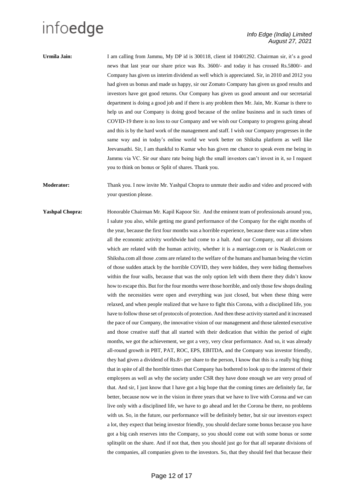**Urmila Jain:** I am calling from Jammu, My DP id is 300118, client id 10401292. Chairman sir, it's a good news that last year our share price was Rs. 3600/- and today it has crossed Rs.5800/- and Company has given us interim dividend as well which is appreciated. Sir, in 2010 and 2012 you had given us bonus and made us happy, sir our Zomato Company has given us good results and investors have got good returns. Our Company has given us good amount and our secretarial department is doing a good job and if there is any problem then Mr. Jain, Mr. Kumar is there to help us and our Company is doing good because of the online business and in such times of COVID-19 there is no loss to our Company and we wish our Company to progress going ahead and this is by the hard work of the management and staff. I wish our Company progresses in the same way and in today's online world we work better on Shiksha platform as well like Jeevansathi. Sir, I am thankful to Kumar who has given me chance to speak even me being in Jammu via VC. Sir our share rate being high the small investors can't invest in it, so I request you to think on bonus or Split of shares. Thank you.

**Moderator:** Thank you. I now invite Mr. Yashpal Chopra to unmute their audio and video and proceed with your question please.

**Yashpal Chopra:** Honorable Chairman Mr. Kapil Kapoor Sir. And the eminent team of professionals around you, I salute you also, while getting me grand performance of the Company for the eight months of the year, because the first four months was a horrible experience, because there was a time when all the economic activity worldwide had come to a halt. And our Company, our all divisions which are related with the human activity, whether it is a marriage.com or is Naukri.com or Shiksha.com all those .coms are related to the welfare of the humans and human being the victim of those sudden attack by the horrible COVID, they were hidden, they were hiding themselves within the four walls, because that was the only option left with them there they didn't know how to escape this. But for the four months were those horrible, and only those few shops dealing with the necessities were open and everything was just closed, but when these thing were relaxed, and when people realized that we have to fight this Corona, with a disciplined life, you have to follow those set of protocols of protection. And then these activity started and it increased the pace of our Company, the innovative vision of our management and those talented executive and those creative staff that all started with their dedication that within the period of eight months, we got the achievement, we got a very, very clear performance. And so, it was already all-round growth in PBT, PAT, ROC, EPS, EBITDA, and the Company was investor friendly, they had given a dividend of Rs.8/- per share to the person, I know that this is a really big thing that in spite of all the horrible times that Company has bothered to look up to the interest of their employees as well as why the society under CSR they have done enough we are very proud of that. And sir, I just know that I have got a big hope that the coming times are definitely far, far better, because now we in the vision in three years that we have to live with Corona and we can live only with a disciplined life, we have to go ahead and let the Corona be there, no problems with us. So, in the future, our performance will be definitely better, but sir our investors expect a lot, they expect that being investor friendly, you should declare some bonus because you have got a big cash reserves into the Company, so you should come out with some bonus or some splitsplit on the share. And if not that, then you should just go for that all separate divisions of the companies, all companies given to the investors. So, that they should feel that because their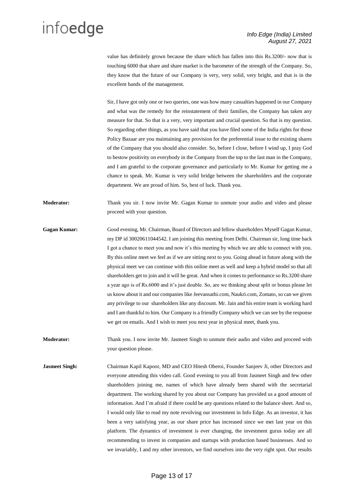value has definitely grown because the share which has fallen into this Rs.3200/- now that is touching 6000 that share and share market is the barometer of the strength of the Company. So, they know that the future of our Company is very, very solid, very bright, and that is in the excellent hands of the management.

Sir, I have got only one or two queries, one was how many casualties happened in our Company and what was the remedy for the reinstatement of their families, the Company has taken any measure for that. So that is a very, very important and crucial question. So that is my question. So regarding other things, as you have said that you have filed some of the India rights for those Policy Bazaar are you maintaining any provision for the preferential issue to the existing shares of the Company that you should also consider. So, before I close, before I wind up, I pray God to bestow positivity on everybody in the Company from the top to the last man in the Company, and I am grateful to the corporate governance and particularly to Mr. Kumar for getting me a chance to speak. Mr. Kumar is very solid bridge between the shareholders and the corporate department. We are proud of him. So, best of luck. Thank you.

**Moderator:** Thank you sir. I now invite Mr. Gagan Kumar to unmute your audio and video and please proceed with your question.

- **Gagan Kumar:** Good evening, Mr. Chairman, Board of Directors and fellow shareholders Myself Gagan Kumar, my DP id 30020611044542. I am joining this meeting from Delhi. Chairman sir, long time back I got a chance to meet you and now it's this meeting by which we are able to connect with you. By this online meet we feel as if we are sitting next to you. Going ahead in future along with the physical meet we can continue with this online meet as well and keep a hybrid model so that all shareholders get to join and it will be great. And when it comes to performance so Rs.3200 share a year ago is of Rs.6000 and it's just double. So, are we thinking about split or bonus please let us know about it and our companies like Jeevansathi.com, Naukri.com, Zomato, so can we given any privilege to our shareholders like any discount. Mr. Jain and his entire team is working hard and I am thankful to him. Our Company is a friendly Company which we can see by the response we get on emails. And I wish to meet you next year in physical meet, thank you.
- **Moderator:** Thank you. I now invite Mr. Jasmeet Singh to unmute their audio and video and proceed with your question please.
- **Jasmeet Singh:** Chairman Kapil Kapoor, MD and CEO Hitesh Oberoi, Founder Sanjeev Ji, other Directors and everyone attending this video call. Good evening to you all from Jasmeet Singh and few other shareholders joining me, names of which have already been shared with the secretarial department. The working shared by you about our Company has provided us a good amount of information. And I'm afraid if there could be any questions related to the balance sheet. And so, I would only like to read my note revolving our investment in Info Edge. As an investor, it has been a very satisfying year, as our share price has increased since we met last year on this platform. The dynamics of investment is ever changing, the investment gurus today are all recommending to invest in companies and startups with production based businesses. And so we invariably, I and my other investors, we find ourselves into the very right spot. Our results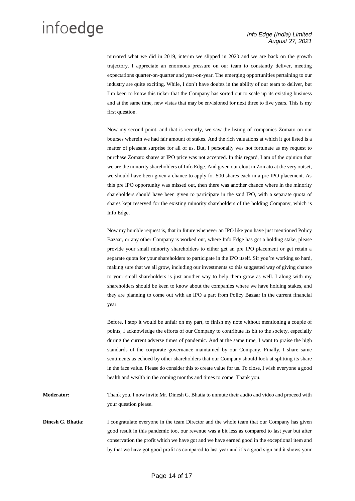mirrored what we did in 2019, interim we slipped in 2020 and we are back on the growth trajectory. I appreciate an enormous pressure on our team to constantly deliver, meeting expectations quarter-on-quarter and year-on-year. The emerging opportunities pertaining to our industry are quite exciting. While, I don't have doubts in the ability of our team to deliver, but I'm keen to know this ticker that the Company has sorted out to scale up its existing business and at the same time, new vistas that may be envisioned for next three to five years. This is my first question.

Now my second point, and that is recently, we saw the listing of companies Zomato on our bourses wherein we had fair amount of stakes. And the rich valuations at which it got listed is a matter of pleasant surprise for all of us. But, I personally was not fortunate as my request to purchase Zomato shares at IPO price was not accepted. In this regard, I am of the opinion that we are the minority shareholders of Info Edge. And given our clout in Zomato at the very outset, we should have been given a chance to apply for 500 shares each in a pre IPO placement. As this pre IPO opportunity was missed out, then there was another chance where in the minority shareholders should have been given to participate in the said IPO, with a separate quota of shares kept reserved for the existing minority shareholders of the holding Company, which is Info Edge.

Now my humble request is, that in future whenever an IPO like you have just mentioned Policy Bazaar, or any other Company is worked out, where Info Edge has got a holding stake, please provide your small minority shareholders to either get an pre IPO placement or get retain a separate quota for your shareholders to participate in the IPO itself. Sir you're working so hard, making sure that we all grow, including our investments so this suggested way of giving chance to your small shareholders is just another way to help them grow as well. I along with my shareholders should be keen to know about the companies where we have holding stakes, and they are planning to come out with an IPO a part from Policy Bazaar in the current financial year.

Before, I stop it would be unfair on my part, to finish my note without mentioning a couple of points, I acknowledge the efforts of our Company to contribute its bit to the society, especially during the current adverse times of pandemic. And at the same time, I want to praise the high standards of the corporate governance maintained by our Company. Finally, I share same sentiments as echoed by other shareholders that our Company should look at splitting its share in the face value. Please do consider this to create value for us. To close, I wish everyone a good health and wealth in the coming months and times to come. Thank you.

**Moderator:** Thank you. I now invite Mr. Dinesh G. Bhatia to unmute their audio and video and proceed with your question please.

**Dinesh G. Bhatia:** I congratulate everyone in the team Director and the whole team that our Company has given good result in this pandemic too, our revenue was a bit less as compared to last year but after conservation the profit which we have got and we have earned good in the exceptional item and by that we have got good profit as compared to last year and it's a good sign and it shows your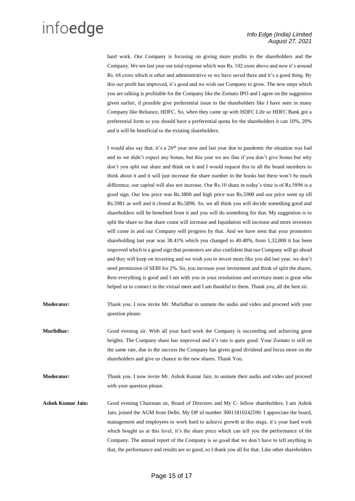hard work. Our Company is focusing on giving more profits to the shareholders and the Company. We see last year our total expense which was Rs. 102 crore above and now it's around Rs. 68 crore which is other and administrative so we have saved there and it's a good thing. By this our profit has improved, it's good and we wish our Company to grow. The new steps which you are talking is profitable for the Company like the Zomato IPO and I agree on the suggestion given earlier, if possible give preferential issue to the shareholders like I have seen in many Company like Reliance, HDFC. So, when they came up with HDFC Life so HDFC Bank got a preferential form so you should have a preferential quota for the shareholders it can 10%, 20% and it will be beneficial to the existing shareholders.

I would also say that, it's a  $26<sup>th</sup>$  year now and last year due to pandemic the situation was bad and so we didn't expect any bonus, but this year we are fine if you don't give bonus but why don't you split our share and think on it and I would request this to all the board members to think about it and it will just increase the share number in the books but there won't be much difference, our capital will also not increase. Our Rs.10 share in today's time is of Rs.5896 is a good sign. Our low price was Rs.3800 and high price was Rs.5900 and our price went up till Rs.5981 as well and it closed at Rs.5896. So, we all think you will decide something good and shareholders will be benefited from it and you will do something for that. My suggestion is to split the share so that share count will increase and liquidation will increase and more investors will come in and our Company will progress by that. And we have seen that your promoters shareholding last year was 38.41% which you changed to 40.48%, from 1,32,800 it has been improved which is a good sign that promoters are also confident that our Company will go ahead and they will keep on investing and we wish you to invest more like you did last year, we don't need permission of SEBI for 2%. So, you increase your investment and think of split the shares. Rest everything is good and I am with you in your resolutions and secretary team is great who helped us to connect in the virtual meet and I am thankful to them. Thank you, all the best sir.

- **Moderator:** Thank you. I now invite Mr. Murlidhar to unmute the audio and video and proceed with your question please.
- **Murlidhar:** Good evening sir. With all your hard work the Company is succeeding and achieving great heights. The Company share has improved and it's rate is quite good. Your Zomato is still on the same rate, due to the success the Company has given good dividend and focus more on the shareholders and give us chance in the new shares. Thank You.

**Moderator:** Thank you. I now invite Mr. Ashok Kumar Jain, to unmute their audio and video and proceed with your question please.

**Ashok Kumar Jain:** Good evening Chairman sir, Board of Directors and My C- fellow shareholders. I am Ashok Jain, joined the AGM from Delhi. My DP id number 30011810242590. I appreciate the board, management and employees to work hard to achieve growth at this stage, it's your hard work which bought us at this level, it's the share price which can tell you the performance of the Company. The annual report of the Company is so good that we don't have to tell anything in that, the performance and results are so good, so I thank you all for that. Like other shareholders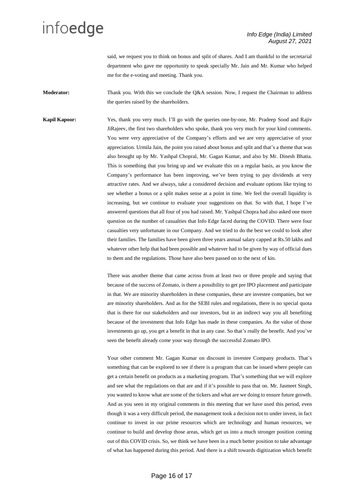said, we request you to think on bonus and split of shares. And I am thankful to the secretarial department who gave me opportunity to speak specially Mr. Jain and Mr. Kumar who helped me for the e-voting and meeting. Thank you.

**Moderator:** Thank you. With this we conclude the Q&A session. Now, I request the Chairman to address the queries raised by the shareholders.

**Kapil Kapoor:** Yes, thank you very much. I'll go with the queries one-by-one, Mr. Pradeep Sood and Rajiv JiRajeev, the first two shareholders who spoke, thank you very much for your kind comments. You were very appreciative of the Company's efforts and we are very appreciative of your appreciation. Urmila Jain, the point you raised about bonus and split and that's a theme that was also brought up by Mr. Yashpal Chopral, Mr. Gagan Kumar, and also by Mr. Dinesh Bhatia. This is something that you bring up and we evaluate this on a regular basis, as you know the Company's performance has been improving, we've been trying to pay dividends at very attractive rates. And we always, take a considered decision and evaluate options like trying to see whether a bonus or a split makes sense at a point in time. We feel the overall liquidity is increasing, but we continue to evaluate your suggestions on that. So with that, I hope I've answered questions that all four of you had raised. Mr. Yashpal Chopra had also asked one more question on the number of casualties that Info Edge faced during the COVID. There were four casualties very unfortunate in our Company. And we tried to do the best we could to look after their families. The families have been given three years annual salary capped at Rs.50 lakhs and whatever other help that had been possible and whatever had to be given by way of official dues to them and the regulations. Those have also been passed on to the next of kin.

> There was another theme that came across from at least two or three people and saying that because of the success of Zomato, is there a possibility to get pre IPO placement and participate in that. We are minority shareholders in these companies, these are investee companies, but we are minority shareholders. And as for the SEBI rules and regulations, there is no special quota that is there for our stakeholders and our investors, but in an indirect way you all benefiting because of the investment that Info Edge has made in these companies. As the value of those investments go up, you get a benefit in that in any case. So that's really the benefit. And you've seen the benefit already come your way through the successful Zomato IPO.

> Your other comment Mr. Gagan Kumar on discount in investee Company products. That's something that can be explored to see if there is a program that can be issued where people can get a certain benefit on products as a marketing program. That's something that we will explore and see what the regulations on that are and if it's possible to pass that on. Mr. Jasmeet Singh, you wanted to know what are some of the tickers and what are we doing to ensure future growth. And as you seen in my original comments in this meeting that we have used this period, even though it was a very difficult period, the management took a decision not to under invest, in fact continue to invest in our prime resources which are technology and human resources, we continue to build and develop those areas, which get us into a much stronger position coming out of this COVID crisis. So, we think we have been in a much better position to take advantage of what has happened during this period. And there is a shift towards digitization which benefit